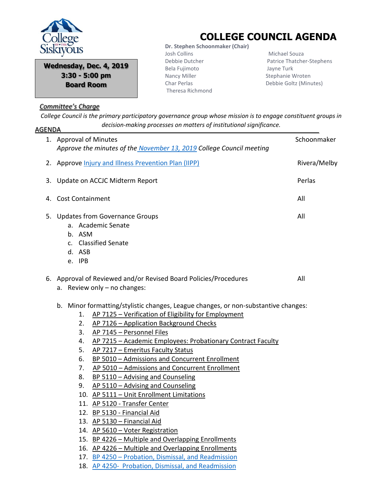

**Wednesday, Dec. 4, 2019 3:30 - 5:00 pm Board Room**

## *Committee's Charge*

## **COLLEGE COUNCIL AGENDA**

 **Dr. Stephen Schoonmaker (Chair)** Josh Collins Debbie Dutcher Bela Fujimoto Nancy Miller Char Perlas Theresa Richmond

 Michael Souza Patrice Thatcher-Stephens Jayne Turk Stephanie Wroten Debbie Goltz (Minutes)

*College Council is the primary participatory governance group whose mission is to engage constituent groups in decision-making processes on matters of institutional significance.* AGENDA

| 1. Approval of Minutes                                                                                               |                                                                                                                                                                                                                                                                                                                                                                                                                                                                                                                                                                                                                                                                                                                                                | Schoonmaker  |
|----------------------------------------------------------------------------------------------------------------------|------------------------------------------------------------------------------------------------------------------------------------------------------------------------------------------------------------------------------------------------------------------------------------------------------------------------------------------------------------------------------------------------------------------------------------------------------------------------------------------------------------------------------------------------------------------------------------------------------------------------------------------------------------------------------------------------------------------------------------------------|--------------|
|                                                                                                                      | Approve the minutes of the November 13, 2019 College Council meeting                                                                                                                                                                                                                                                                                                                                                                                                                                                                                                                                                                                                                                                                           |              |
| 2. Approve <i>Injury and Illness Prevention Plan (IIPP)</i>                                                          |                                                                                                                                                                                                                                                                                                                                                                                                                                                                                                                                                                                                                                                                                                                                                | Rivera/Melby |
| 3. Update on ACCJC Midterm Report                                                                                    |                                                                                                                                                                                                                                                                                                                                                                                                                                                                                                                                                                                                                                                                                                                                                | Perlas       |
| 4. Cost Containment                                                                                                  |                                                                                                                                                                                                                                                                                                                                                                                                                                                                                                                                                                                                                                                                                                                                                |              |
| All<br>5. Updates from Governance Groups<br>a. Academic Senate<br>b. ASM<br>c. Classified Senate<br>d. ASB<br>e. IPB |                                                                                                                                                                                                                                                                                                                                                                                                                                                                                                                                                                                                                                                                                                                                                |              |
| 6. Approval of Reviewed and/or Revised Board Policies/Procedures<br>All<br>a. Review only - no changes:              |                                                                                                                                                                                                                                                                                                                                                                                                                                                                                                                                                                                                                                                                                                                                                |              |
| b.<br>1.<br>2.<br>3.<br>4.<br>5.<br>6.<br>7.<br>8.<br>9.                                                             | Minor formatting/stylistic changes, League changes, or non-substantive changes:<br>AP 7125 - Verification of Eligibility for Employment<br>AP 7126 - Application Background Checks<br>AP 7145 - Personnel Files<br>AP 7215 - Academic Employees: Probationary Contract Faculty<br>AP 7217 - Emeritus Faculty Status<br>BP 5010 - Admissions and Concurrent Enrollment<br>AP 5010 - Admissions and Concurrent Enrollment<br>BP 5110 - Advising and Counseling<br>AP 5110 - Advising and Counseling<br>10. AP 5111 - Unit Enrollment Limitations<br>11. AP 5120 - Transfer Center<br>12. BP 5130 - Financial Aid<br>13. AP 5130 - Financial Aid<br>14. AP 5610 - Voter Registration<br>$1\Gamma$ DD $122C$ Multiple and Overlapping Equal people |              |

15. BP 4226 – Multiple and Overlapping Enrollments

16. AP 4226 – Multiple and Overlapping Enrollments 17. BP 4250 – [Probation, Dismissal, and Readmission](../../../../../College%20Council%20Working%20Documents/APs%20&%20BPs%20for%20CC%20review/December%204,%202019%20meeting/BP%204250%20Ready%20for%20CC%2011.21.19%20dk.pdf)

18. AP 4250- [Probation, Dismissal, and Readmission](../../../../../College%20Council%20Working%20Documents/APs%20&%20BPs%20for%20CC%20review/December%204,%202019%20meeting/AP%204250%20ready%20for%20CC%2011.22.19%20dk.pdf)